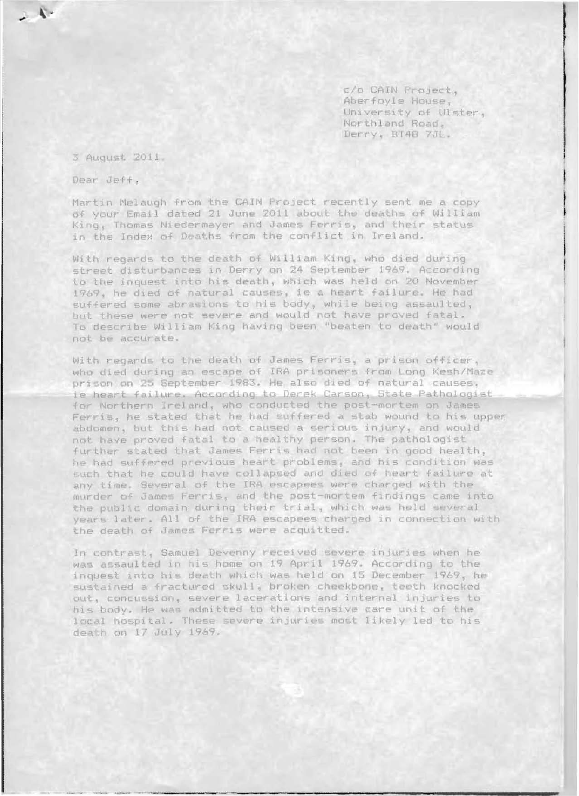c/o CAIN Project, Aberfoyle House. University of Ulster. Northland Road, Derry, BT48 7JL.

3 August 2011.

Dear Jeff.

Martin Melaugh from the CAIN Project recently sent me a copy of your Email dated 21 June 2011 about the deaths of William King, Thomas Niedermayer and James Ferris, and their status in the Index of Deaths from the conflict in Ireland.

With regards to the death of William King, who died during street disturbances in Derry on 24 September 1969. According to the inquest into his death, which was held on 20 November 1969, he died of natural causes, ie a heart failure. He had suffered some abrasions to his body, while being assaulted, but these were not severe and would not have proved fatal. To describe William King having been "beaten to death" would not be accurate.

With regards to the death of James Ferris, a prison officer, who died during an escape of IRA prisoners from Long Kesh/Maze prison on 25 September 1983. He also died of natural causes. ie heart failure. According to Derek Carson, State Pathologist for Northern Ireland, who conducted the post-mortem on James Ferris, he stated that he had suffered a stab wound to his upper abdomen. but this had not caused a serious injury, and would not have proved fatal to a healthy person. The pathologist further stated that James Ferris had not been in good health, he had suffered previous heart problems, and his condition was such that he could have collapsed and died of heart failure at any time. Several of the IRA escapees were charged with the murder of James Ferris, and the post-mortem findings came into the public domain during their trial, which was held several years later. All of the IRA escapees charged in connection with the death of James Ferris were acquitted.

In contrast, Samuel Devenny received severe injuries when he was assaulted in his home on 19 April 1969. According to the inquest into his death which was held on 15 December 1969, he sustained a fractured skull, broken cheekbone, teeth knocked out, concussion, severe lacerations and internal injuries to his body. He was admitted to the intensive care unit of the local hospital. These severe injuries most likely led to his death on 17 July 1969.